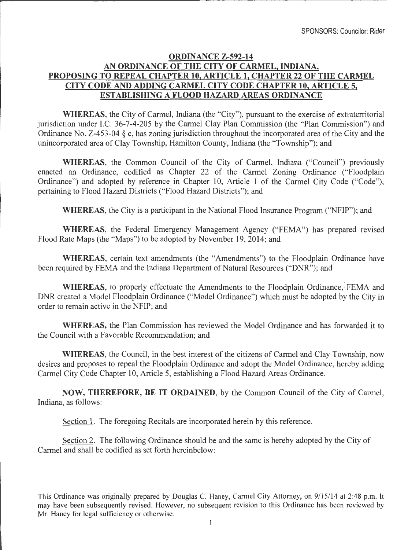## **ORDINANCE Z-592-14 AN ORDINANCE OF THE CITY OF CARMEL, INDIANA, PROPOSING TO REPEAL CHAPTER 10, ARTICLE 1, CHAPTER 22 OF THE CARMEL CITY CODE AND ADDING CARMEL CITY CODE CHAPTER 10, ARTICLE 5, ESTABLISHING A FLOOD HAZARD AREAS ORDINANCE**

**WHEREAS,** the City of Carmel, Indiana (the "City"), pursuant to the exercise of extraterritorial jurisdiction under LC. 36-7-4-205 by the Carmel Clay Plan Commission (the "Plan Commission") and Ordinance No. Z-453-04 § c, has zoning jurisdiction throughout the incorporated area of the City and the unincorporated area of Clay Township, Hamilton County, Indiana (the "Township"); and

**WHEREAS,** the Common Council of the City of Carmel, Indiana ("Council") previously enacted an Ordinance, codified as Chapter 22 of the Carmel Zoning Ordinance ("Floodplain Ordinance") and adopted by reference in Chapter 10, Article 1 of the Carmel City Code ("Code") pertaining to Flood Hazard Districts ("Flood Hazard Districts"); and

**WHEREAS,** the City is a participant in the National Flood Insurance Program ("NFIP"); and

**WHEREAS,** the Federal Emergency Management Agency ("FEMA") has prepared revised Flood Rate Maps (the "Maps") to be adopted by November 19, 2014; and

**WHEREAS,** certain text amendments (the "Amendments") to the Floodplain Ordinance have been required by FEMA and the Indiana Department of Natural Resources ("DNR"); and

WHEREAS, to properly effectuate the Amendments to the Floodplain Ordinance, FEMA and DNR created a Model Floodplain Ordinance ("Model Ordinance") which must be adopted by the City in order to remain active in the NFIP; and

**WHEREAS,** the Plan Commission has reviewed the Model Ordinance and has forwarded it to the Council with a Favorable Recommendation; and

**WHEREAS,** the Council, in the best interest of the citizens of Carmel and Clay Township, now desires and proposes to repeal the Floodplain Ordinance and adopt the Model Ordinance, hereby adding Carmel City Code Chapter 10, Article 5, establishing a Flood Hazard Areas Ordinance.

**NOW, THEREFORE, BE IT ORDAINED,** by the Common Council of the City of Carmel, Indiana, as follows:

Section 1. The foregoing Recitals are incorporated herein by this reference.

Section 2. The following Ordinance should be and the same is hereby adopted by the City of Carmel and shall be codified as set forth hereinbelow: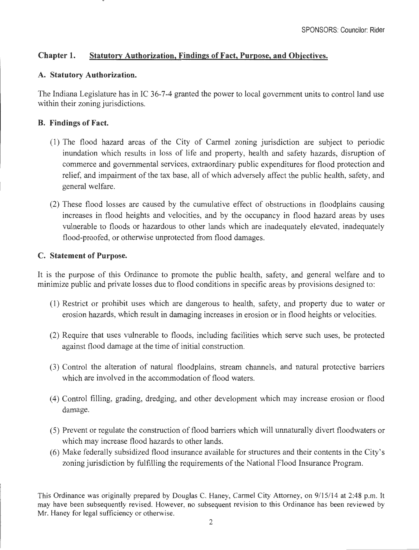# **Chapter 1. Statutory Authorization, Findings of Fact, Purpose, and Objectives.**

# **A. Statutory Authorization.**

The Indiana Legislature has in IC 36-7-4 granted the power to local government units to control land use within their zoning jurisdictions.

## **B. Findings of Fact.**

- (1) The flood hazard areas of the City of Carmel zoning jurisdiction are subject to periodic inundation which results in loss of life and property, health and safety hazards, disruption of commerce and governmental services, extraordinary public expenditures for flood protection and relief, and impairment of the tax base, all of which adversely affect the public health, safety, and general welfare.
- (2) These flood losses are caused by the cumulative effect of obstructions in floodplains causing increases in flood heights and velocities, and by the occupancy in flood hazard areas by uses vulnerable to floods or hazardous to other lands which are inadequately elevated, inadequately flood-proofed, or otherwise unprotected from flood damages.

### **C. Statement of Purpose.**

It is the purpose of this Ordinance to promote the public health, safety, and general welfare and to minimize public and private losses due to flood conditions in specific areas by provisions designed to:

- (1) Restrict or prohibit uses which are dangerous to health, safety, and property due to water or erosion hazards, which result in damaging increases in erosion or in flood heights or velocities.
- (2) Require that uses vulnerable to floods, including facilities which serve such uses, be protected against flood damage at the time of initial construction.
- (3) Control the alteration of natural floodplains, stream channels, and natural protective barriers which are involved in the accommodation of flood waters.
- ( 4) Control filling, grading, dredging, and other development which may increase erosion or flood damage.
- (5) Prevent or regulate the construction of flood barriers which will unnaturally divert floodwaters or which may increase flood hazards to other lands.
- (6) Make federally subsidized flood insurance available for structures and their contents in the City's zoning jurisdiction by fulfilling the requirements of the National Flood Insurance Program.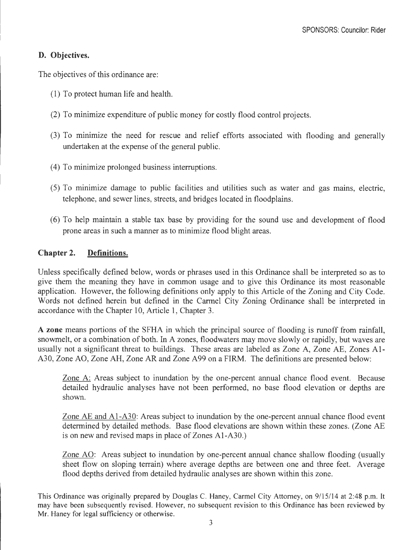# **D. Objectives.**

The objectives of this ordinance are:

- (1) To protect human life and health.
- (2) To minimize expenditure of public money for costly flood control projects.
- (3) To minimize the need for rescue and relief efforts associated with flooding and generally undertaken at the expense of the general public.
- ( 4) To minimize prolonged business interruptions.
- (5) To minimize damage to public facilities and utilities such as water and gas mains, electric, telephone, and sewer lines, streets, and bridges located in floodplains.
- (6) To help maintain a stable tax base by providing for the sound use and development of flood prone areas in such a manner as to minimize flood blight areas.

# **Chapter 2. Definitions.**

Unless specifically defined below, words or phrases used in this Ordinance shall be interpreted so as to give them the meaning they have in common usage and to give this Ordinance its most reasonable application. However, the following definitions only apply to this Article of the Zoning and City Code. Words not defined herein but defined in the Carmel City Zoning Ordinance shall be interpreted in accordance with the Chapter 10, Article 1, Chapter 3.

**A zone** means portions of the SFHA in which the principal source of flooding is runoff from rainfall, snowmelt, or a combination of both. In A zones, floodwaters may move slowly or rapidly, but waves are usually not a significant threat to buildings. These areas are labeled as Zone A, Zone AE, Zones Al-A30, Zone AO, Zone AH, Zone AR and Zone A99 on a FIRM. The definitions are presented below:

Zone A: Areas subject to inundation by the one-percent annual chance flood event. Because detailed hydraulic analyses have not been performed, no base flood elevation or depths are shown.

Zone AE and Al-A30: Areas subject to inundation by the one-percent annual chance flood event determined by detailed methods. Base flood elevations are shown within these zones. (Zone AE is on new and revised maps in place of Zones Al-A30.)

Zone AO: Areas subject to inundation by one-percent annual chance shallow flooding (usually sheet flow on sloping terrain) where average depths are between one and three feet. Average flood depths derived from detailed hydraulic analyses are shown within this zone.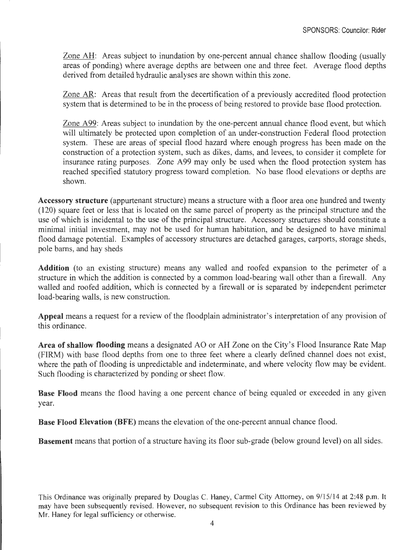Zone AH: Areas subject to inundation by one-percent annual chance shallow flooding (usually areas of ponding) where average depths are between one and three feet. Average flood depths derived from detailed hydraulic analyses are shown within this zone.

Zone AR: Areas that result from the decertification of a previously accredited flood protection system that is determined to be in the process of being restored to provide base flood protection.

Zone A99: Areas subject to inundation by the one-percent annual chance flood event, but which will ultimately be protected upon completion of an under-construction Federal flood protection system. These are areas of special flood hazard where enough progress has been made on the construction of a protection system, such as dikes, dams, and levees, to consider it complete for insurance rating purposes. Zone A99 may only be used when the flood protection system has reached specified statutory progress toward completion. No base flood elevations or depths are shown.

**Accessory structure** (appurtenant structure) means a structure with a floor area one hundred and twenty (120) square feet or less that is located on the same parcel of property as the principal structure and the use of which is incidental to the use of the principal structure. Accessory structures should constitute a minimal initial investment, may not be used for human habitation, and be designed to have minimal flood damage potential. Examples of accessory structures are detached garages, carports, storage sheds, pole barns, and hay sheds

**Addition** (to an existing structure) means any walled and roofed expansion to the perimeter of a structure in which the addition is connected by a common load-bearing wall other than a firewall. Any walled and roofed addition, which is connected by a firewall or is separated by independent perimeter load-bearing walls, is new construction.

**Appeal** means a request for a review of the floodplain administrator's interpretation of any provision of this ordinance.

**Area of shallow flooding** means a designated AO or AH Zone on the City's Flood Insurance Rate Map (FIRM) with base flood depths from one to three feet where a clearly defined channel does not exist, where the path of flooding is unpredictable and indeterminate, and where velocity flow may be evident. Such flooding is characterized by ponding or sheet flow.

**Base Flood** means the flood having a one percent chance of being equaled or exceeded in any given year.

**Base Flood Elevation (BFE)** means the elevation of the one-percent annual chance flood.

**Basement** means that portion of a structure having its floor sub-grade (below ground level) on all sides.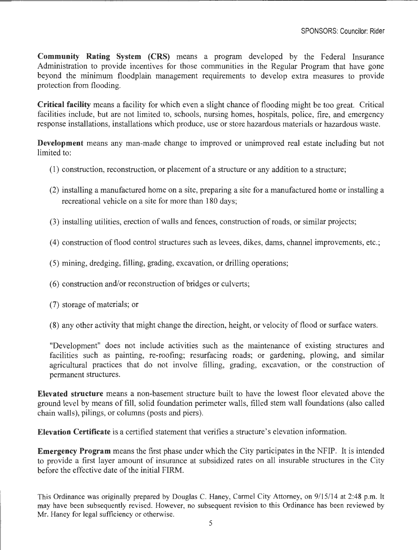**Community Rating System (CRS)** means a program developed by the Federal Insurance Administration to provide incentives for those communities in the Regular Program that have gone beyond the minimum floodplain management requirements to develop extra measures to provide protection from flooding.

**Critical facility** means a facility for which even a slight chance of flooding might be too great. Critical facilities include, but are not limited to, schools, nursing homes, hospitals, police, fire, and emergency response installations, installations which produce, use or store hazardous materials or hazardous waste.

**Development** means any man-made change to improved or unimproved real estate including but not limited to:

- $(1)$  construction, reconstruction, or placement of a structure or any addition to a structure;
- (2) installing a manufactured home on a site, preparing a site for a manufactured home or installing a recreational vehicle on a site for more than 180 days;
- (3) installing utilities, erection of walls and fences, construction of roads, or similar projects;
- (4) construction of flood control structures such as levees, dikes, dams, channel improvements, etc.;
- (5) mining, dredging, filling, grading, excavation, or drilling operations;
- ( 6) construction and/or reconstruction of bridges or culverts;
- (7) storage of materials; or
- (8) any other activity that might change the direction, height, or velocity of flood or surface waters.

"Development" does not include activities such as the maintenance of existing structures and facilities such as painting, re-roofing; resurfacing roads; or gardening, plowing, and similar agricultural practices that do not involve filling, grading, excavation, or the construction of permanent structures.

**Elevated structure** means a non-basement structure built to have the lowest floor elevated above the ground level by means of fill, solid foundation perimeter walls, filled stem wall foundations (also called chain walls), pilings, or columns (posts and piers).

**Elevation Certificate** is a certified statement that verifies a structure's elevation information.

**Emergency Program** means the first phase under which the City participates in the NFIP. It is intended to provide a first layer amount of insurance at subsidized rates on all insurable structures in the City before the effective date of the initial FIRM.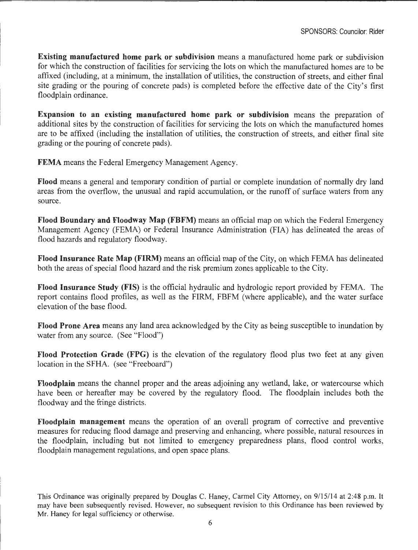**Existing manufactured home park or subdivision** means a manufactured home park or subdivision for which the construction of facilities for servicing the lots on which the manufactured homes are to be affixed (including, at a minimum, the installation of utilities, the construction of streets, and either final site grading or the pouring of concrete pads) is completed before the effective date of the City's first floodplain ordinance.

**Expansion to an existing manufactured home park or subdivision** means the preparation of additional sites by the construction of facilities for servicing the lots on which the manufactured homes are to be affixed (including the installation of utilities, the construction of streets, and either final site grading or the pouring of concrete pads).

**FEMA** means the Federal Emergency Management Agency.

**Flood** means a general and temporary condition of partial or complete inundation of normally dry land areas from the overflow, the unusual and rapid accumulation, or the runoff of surface waters from any source.

**Flood Boundary and Floodway Map (FBFM)** means an official map on which the Federal Emergency Management Agency (FEMA) or Federal Insurance Administration (FIA) has delineated the areas of flood hazards and regulatory floodway.

**Flood Insurance Rate Map (FIRM)** means an official map of the City, on which FEMA has delineated both the areas of special flood hazard and the risk premium zones applicable to the City.

**Flood Insurance Study (FIS)** is the official hydraulic and hydrologic report provided by FEMA. The report contains flood profiles, as well as the FIRM, FBFM (where applicable), and the water surface elevation of the base flood.

**Flood Prone Area** means any land area acknowledged by the City as being susceptible to inundation by water from any source. (See "Flood")

**Flood Protection Grade (FPG)** is the elevation of the regulatory flood plus two feet at any given location in the SFHA. (see "Freeboard")

**Floodplain** means the channel proper and the areas adjoining any wetland, lake, or watercourse which have been or hereafter may be covered by the regulatory flood. The floodplain includes both the floodway and the fringe districts.

**Floodplain management** means the operation of an overall program of corrective and preventive measures for reducing flood damage and preserving and enhancing, where possible, natural resources in the floodplain, including but not limited to emergency preparedness plans, flood control works, floodplain management regulations, and open space plans.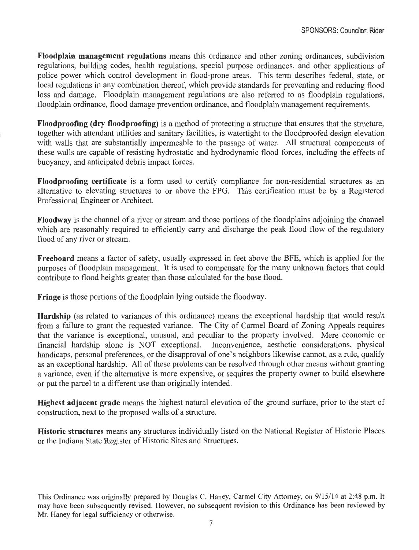**Floodplain management regulations** means this ordinance and other zoning ordinances, subdivision regulations, building codes, health regulations, special purpose ordinances, and other applications of police power which control development in flood-prone areas. This term describes federal, state, or local regulations in any combination thereof, which provide standards for preventing and reducing flood loss and damage. Floodplain management regulations are also referred to as floodplain regulations, floodplain ordinance, flood damage prevention ordinance, and floodplain management requirements.

**Floodproofing (dry floodproofing)** is a method of protecting a structure that ensures that the structure, together with attendant utilities and sanitary facilities, is watertight to the floodproofed design elevation with walls that are substantially impermeable to the passage of water. All structural components of these walls are capable of resisting hydrostatic and hydrodynamic flood forces, including the effects of buoyancy, and anticipated debris impact forces.

**Floodproofing certificate** is a form used to certify compliance for non-residential structures as an alternative to elevating structures to or above the FPG. This certification must be by a Registered Professional Engineer or Architect.

**Floodway** is the channel of a river or stream and those portions of the floodplains adjoining the channel which are reasonably required to efficiently carry and discharge the peak flood flow of the regulatory flood of any river or stream.

**Freeboard** means a factor of safety, usually expressed in feet above the BFE, which is applied for the purposes of floodplain management. It is used to compensate for the many unknown factors that could contribute to flood heights greater than those calculated for the base flood.

**Fringe** is those portions of the floodplain lying outside the floodway.

**Hardship** (as related to variances of this ordinance) means the exceptional hardship that would result from a failure to grant the requested variance. The City of Carmel Board of Zoning Appeals requires that the variance is exceptional, unusual, and peculiar to the property involved. Mere economic or financial hardship alone is NOT exceptional. Inconvenience, aesthetic considerations, physical handicaps, personal preferences, or the disapproval of one's neighbors likewise cannot, as a rule, qualify as an exceptional hardship. All of these problems can be resolved through other means without granting a variance, even if the alternative is more expensive, or requires the property owner to build elsewhere or put the parcel to a different use than originally intended.

**Highest adjacent grade** means the highest natural elevation of the ground surface, prior to the start of construction, next to the proposed walls of a structure.

**Historic structures** means any structures individually listed on the National Register of Historic Places or the Indiana State Register of Historic Sites and Structures.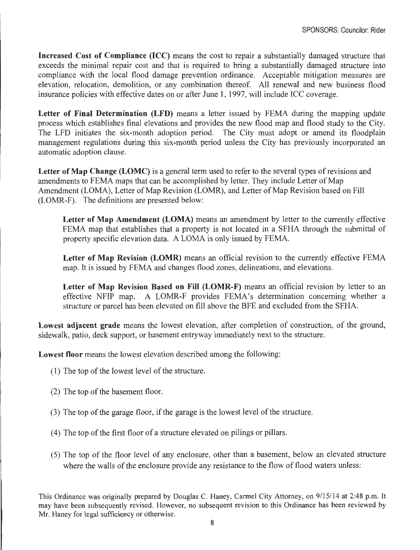**Increased Cost of Compliance (ICC)** means the cost to repair a substantially damaged structure that exceeds the minimal repair cost and that is required to bring a substantially damaged structure into compliance with the local flood damage prevention ordinance. Acceptable mitigation measures are elevation, relocation, demolition, or any combination thereof. All renewal and new business flood insurance policies with effective dates on or after June 1, 1997, will include ICC coverage.

**Letter of Final Determination (LFD)** means a letter issued by FEMA during the mapping update process which establishes final elevations and provides the new flood map and flood study to the City. The LFD initiates the six-month adoption period. The City must adopt or amend its floodplain management regulations during this six-month period unless the City has previously incorporated an automatic adoption clause.

Letter of Map Change (LOMC) is a general term used to refer to the several types of revisions and amendments to FEMA maps that can be accomplished by letter. They include Letter of Map Amendment (LOMA), Letter of Map Revision (LOMR), and Letter of Map Revision based on Fill (LOMR-F). The definitions are presented below:

Letter of Map Amendment (LOMA) means an amendment by letter to the currently effective FEMA map that establishes that a property is not located in a SFHA through the submittal of property specific elevation data. A LOMA is only issued by FEMA.

**Letter of Map Revision (LOMR)** means an official revision to the currently effective FEMA map. It is issued by FEMA and changes flood zones, delineations, and elevations.

**Letter of Map Revision Based on Fill (LOMR-F)** means an official revision by letter to an effective NFIP map. A LOMR-F provides FEMA's determination concerning whether a structure or parcel has been elevated on fill above the BFE and excluded from the SFHA.

**Lowest adjacent grade** means the lowest elevation, after completion of construction, of the ground, sidewalk, patio, deck support, or basement entryway immediately next to the structure.

**Lowest floor** means the lowest elevation described among the following:

- ( 1) The top of the lowest level of the structure.
- (2) The top of the basement floor.
- (3) The top of the garage floor, if the garage is the lowest level of the structure.
- ( 4) The top of the first floor of a structure elevated on pilings or pillars.
- (5) The top of the floor level of any enclosure, other than a basement, below an elevated structure where the walls of the enclosure provide any resistance to the flow of flood waters unless: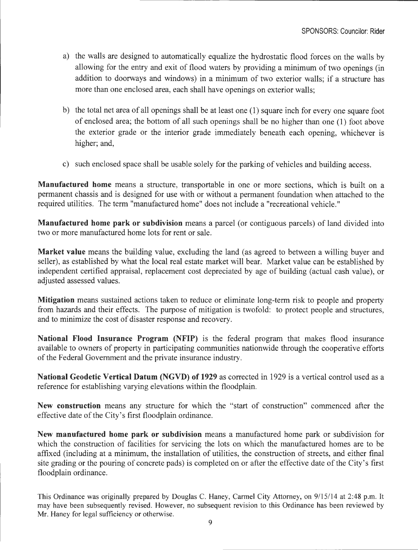- a) the walls are designed to automatically equalize the hydrostatic flood forces on the walls by allowing for the entry and exit of flood waters by providing a minimum of two openings (in addition to doorways and windows) in a minimum of two exterior walls; if a structure has more than one enclosed area, each shall have openings on exterior walls;
- b) the total net area of all openings shall be at least one ( 1) square inch for every one square foot of enclosed area; the bottom of all such openings shall be no higher than one (1) foot above the exterior grade or the interior grade immediately beneath each opening, whichever is higher; and,
- c) such enclosed space shall be usable solely for the parking of vehicles and building access.

**Manufactured home** means a structure, transportable in one or more sections, which is built on a permanent chassis and is designed for use with or without a permanent foundation when attached to the required utilities. The term "manufactured home" does not include a "recreational vehicle."

**Manufactured home park or subdivision** means a parcel (or contiguous parcels) of land divided into two or more manufactured home lots for rent or sale.

**Market value** means the building value, excluding the land (as agreed to between a willing buyer and seller), as established by what the local real estate market will bear. Market value can be established by independent certified appraisal, replacement cost depreciated by age of building (actual cash value), or adjusted assessed values.

**Mitigation** means sustained actions taken to reduce or eliminate long-term risk to people and property from hazards and their effects. The purpose of mitigation is twofold: to protect people and structures, and to minimize the cost of disaster response and recovery.

**National Flood Insurance Program (NFIP)** is the federal program that makes flood insurance available to owners of property in participating communities nationwide through the cooperative efforts of the Federal Government and the private insurance industry.

**National Geodetic Vertical Datum (NGVD) of 1929** as corrected in 1929 is a vertical control used as a reference for establishing varying elevations within the floodplain.

**New construction** means any structure for which the "start of construction" commenced after the effective date of the City's first floodplain ordinance.

**New manufactured home park or subdivision** means a manufactured home park or subdivision for which the construction of facilities for servicing the lots on which the manufactured homes are to be affixed (including at a minimum, the installation of utilities, the construction of streets, and either final site grading or the pouring of concrete pads) is completed on or after the effective date of the City's first floodplain ordinance.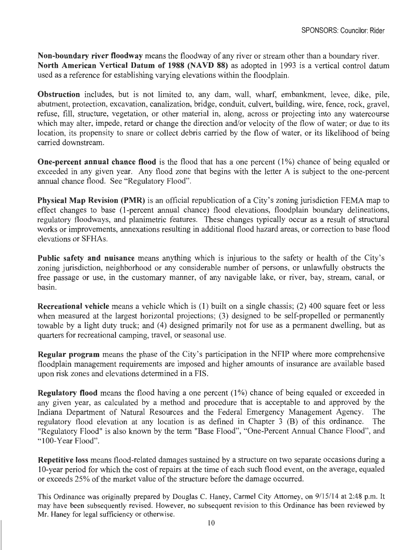**Non-boundary river floodway** means the floodway of any river or stream other than a boundary river. **North American Vertical Datum of 1988 (NAVD 88)** as adopted in 1993 is a vertical control datum used as a reference for establishing varying elevations within the floodplain.

**Obstruction** includes, but is not limited to, any dam, wall, wharf, embankment, levee, dike, pile, abutment, protection, excavation, canalization, bridge, conduit, culvert, building, wire, fence, rock, gravel, refuse, fill, structure, vegetation, or other material in, along, across or projecting into any watercourse which may alter, impede, retard or change the direction and/or velocity of the flow of water; or due to its location, its propensity to snare or collect debris carried by the flow of water, or its likelihood of being carried downstream.

**One-percent annual chance flood** is the flood that has a one percent (1%) chance of being equaled or exceeded in any given year. Any flood zone that begins with the letter A is subject to the one-percent annual chance flood. See "Regulatory Flood".

**Physical Map Revision (PMR)** is an official republication of a City's zoning jurisdiction FEMA map to effect changes to base (I-percent annual chance) flood elevations, floodplain boundary delineations, regulatory floodways, and planimetric features. These changes typically occur as a result of structural works or improvements, annexations resulting in additional flood hazard areas, or correction to base flood elevations or SFHAs.

**Public safety and nuisance** means anything which is injurious to the safety or health of the City's zoning jurisdiction, neighborhood or any considerable number of persons, or unlawfully obstructs the free passage or use, in the customary manner, of any navigable lake, or river, bay, stream, canal, or basin.

**Recreational vehicle** means a vehicle which is (1) built on a single chassis; (2) 400 square feet or less when measured at the largest horizontal projections; (3) designed to be self-propelled or permanently towable by a light duty truck; and (4) designed primarily not for use as a permanent dwelling, but as quarters for recreational camping, travel, or seasonal use.

**Regular program** means the phase of the City's participation in the NFIP where more comprehensive floodplain management requirements are imposed and higher amounts of insurance are available based upon risk zones and elevations determined in a FIS.

**Regulatory flood** means the flood having a one percent (1%) chance of being equaled or exceeded in any given year, as calculated by a method and procedure that is acceptable to and approved by the Indiana Department of Natural Resources and the Federal Emergency Management Agency. The regulatory flood elevation at any location is as defined in Chapter 3 (B) of this ordinance. The "Regulatory Flood" is also known by the term "Base Flood", "One-Percent Annual Chance Flood", and "100-Year Flood".

**Repetitive loss** means flood-related damages sustained by a structure on two separate occasions during a 10-year period for which the cost of repairs at the time of each such flood event, on the average, equaled or exceeds 25% of the market value of the structure before the damage occurred.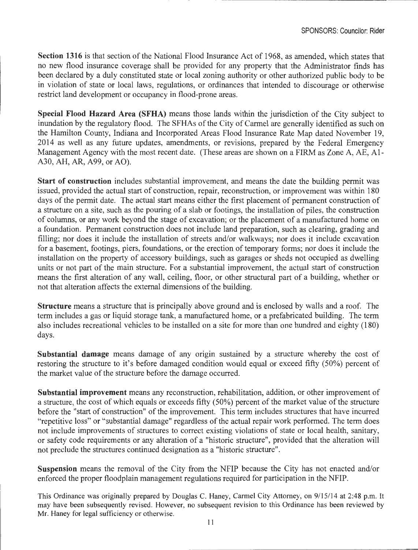**Section 1316** is that section of the National Flood Insurance Act of 1968, as amended, which states that no new flood insurance coverage shall be provided for any property that the Administrator finds has been declared by a duly constituted state or local zoning authority or other authorized public body to be in violation of state or local laws, regulations, or ordinances that intended to discourage or otherwise restrict land development or occupancy in flood-prone areas.

**Special Flood Hazard Area (SFHA)** means those lands within the jurisdiction of the City subject to inundation by the regulatory flood. The SFHAs of the City of Carmel are generally identified as such on the Hamilton County, Indiana and Incorporated Areas Flood Insurance Rate Map dated November 19, 2014 as well as any future updates, amendments, or revisions, prepared by the Federal Emergency Management Agency with the most recent date. (These areas are shown on a FIRM as Zone A,  $\overrightarrow{AF}$ , Al-A30, AH, AR, A99, or AO).

**Start of construction** includes substantial improvement, and means the date the building permit was issued, provided the actual start of construction, repair, reconstruction, or improvement was within 180 days of the permit date. The actual start means either the first placement of permanent construction of a structure on a site, such as the pouring of a slab or footings, the installation of piles, the construction of columns, or any work beyond the stage of excavation; or the placement of a manufactured home on a foundation. Permanent construction does not include land preparation, such as clearing, grading and filling; nor does it include the installation of streets and/or walkways; nor does it include excavation for a basement, footings, piers, foundations, or the erection of temporary forms; nor does it include the installation on the property of accessory buildings, such as garages or sheds not occupied as dwelling units or not part of the main structure. For a substantial improvement, the actual start of construction means the first alteration of any wall, ceiling, floor, or other structural part of a building, whether or not that alteration affects the external dimensions of the building.

**Structure** means a structure that is principally above ground and is enclosed by walls and a roof. The term includes a gas or liquid storage tank, a manufactured home, or a prefabricated building. The term also includes recreational vehicles to be installed on a site for more than one hundred and eighty (180) days.

**Substantial damage** means damage of any origin sustained by a structure whereby the cost of restoring the structure to it's before damaged condition would equal or exceed fifty (50%) percent of the market value of the structure before the damage occurred.

**Substantial improvement** means any reconstruction, rehabilitation, addition, or other improvement of a structure, the cost of which equals or exceeds fifty (50%) percent of the market value of the structure before the "start of construction" of the improvement. This term includes structures that have incurred "repetitive loss" or "substantial damage" regardless of the actual repair work performed. The term does not include improvements of structures to correct existing violations of state or local health, sanitary, or safety code requirements or any alteration of a "historic structure", provided that the alteration will not preclude the structures continued designation as a "historic structure".

**Suspension** means the removal of the City from the NFIP because the City has not enacted and/or enforced the proper floodplain management regulations required for participation in the NFIP.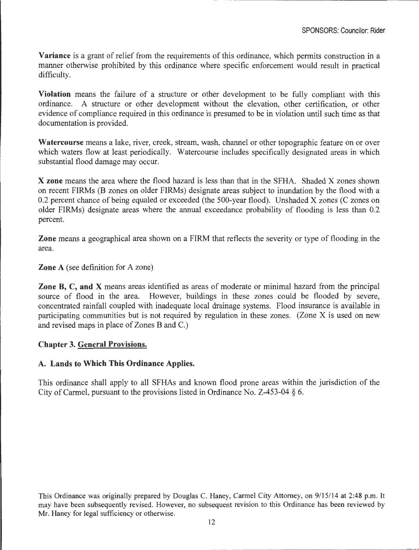**Variance** is a grant of relief from the requirements of this ordinance, which permits construction in a manner otherwise prohibited by this ordinance where specific enforcement would result in practical difficulty.

**Violation** means the failure of a structure or other development to be fully compliant with this ordinance. A structure or other development without the elevation, other certification, or other evidence of compliance required in this ordinance is presumed to be in violation until such time as that documentation is provided.

**Watercourse** means a lake, river, creek, stream, wash, channel or other topographic feature on or over which waters flow at least periodically. Watercourse includes specifically designated areas in which substantial flood damage may occur.

**X zone** means the area where the flood hazard is less than that in the SFHA. Shaded X zones shown on recent FIRMs (B zones on older FIRMs) designate areas subject to inundation by the flood with a 0.2 percent chance of being equaled or exceeded (the 500-year flood). Unshaded X zones (C zones on older FIRMs) designate areas where the annual exceedance probability of flooding is less than 0.2 percent.

**Zone** means a geographical area shown on a FIRM that reflects the severity or type of flooding in the area.

### **Zone A** (see definition for A zone)

**Zone B, C, and X** means areas identified as areas of moderate or minimal hazard from the principal source of flood in the area. However, buildings in these zones could be flooded by severe. concentrated rainfall coupled with inadequate local drainage systems. Flood insurance is available in participating communities but is not required by regulation in these zones. (Zone X is used on new and revised maps in place of Zones Band C.)

#### **Chapter 3. General Provisions.**

### **A. Lands to Which This Ordinance Applies.**

This ordinance shall apply to all SFHAs and known flood prone areas within the jurisdiction of the City of Carmel, pursuant to the provisions listed in Ordinance No. Z-453-04 § 6.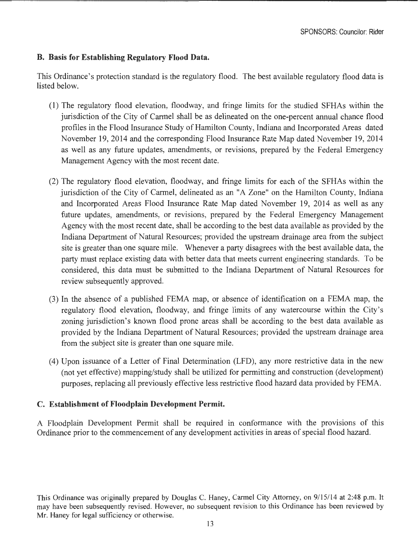# **B. Basis for Establishing Regulatory Flood Data.**

This Ordinance's protection standard is the regulatory flood. The best available regulatory flood data is listed below.

- (1) The regulatory flood elevation, floodway, and fringe limits for the studied SFHAs within the jurisdiction of the City of Carmel shall be as delineated on the one-percent annual chance flood profiles in the Flood Insurance Study of Hamilton County, Indiana and Incorporated Areas dated November 19, 2014 and the corresponding Flood Insurance Rate Map dated November 19, 2014 as well as any future updates, amendments, or revisions, prepared by the Federal Emergency Management Agency with the most recent date.
- (2) The regulatory flood elevation, floodway, and fringe limits for each of the SFHAs within the jurisdiction of the City of Carmel, delineated as an "A Zone" on the Hamilton County, Indiana and Incorporated Areas Flood Insurance Rate Map dated November 19, 2014 as well as any future updates, amendments, or revisions, prepared by the Federal Emergency Management Agency with the most recent date, shall be according to the best data available as provided by the Indiana Department of Natural Resources; provided the upstream drainage area from the subject site is greater than one square mile. Whenever a party disagrees with the best available data, the party must replace existing data with better data that meets current engineering standards. To be considered, this data must be submitted to the Indiana Department of Natural Resources for review subsequently approved.
- (3) In the absence of a published FEMA map, or absence of identification on a FEMA map, the regulatory flood elevation, floodway, and fringe limits of any watercourse within the City's zoning jurisdiction's known flood prone areas shall be according to the best data available as provided by the Indiana Department of Natural Resources; provided the upstream drainage area from the subject site is greater than one square mile.
- (4) Upon issuance of a Letter of Final Determination (LFD), any more restrictive data in the new (not yet effective) mapping/study shall be utilized for permitting and construction (development) purposes, replacing all previously effective less restrictive flood hazard data provided by FEMA.

# **C. Establishment of Floodplain Development Permit.**

A Floodplain Development Permit shall be required in conformance with the provisions of this Ordinance prior to the commencement of any development activities in areas of special flood hazard.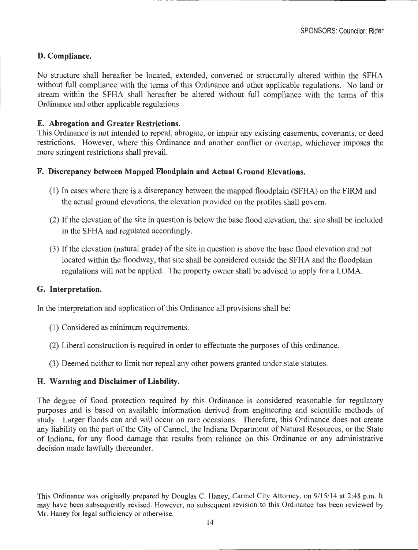# **D. Compliance.**

No structure shall hereafter be located, extended, converted or structurally altered within the SFHA without full compliance with the terms of this Ordinance and other applicable regulations. No land or stream within the SFHA shall hereafter be altered without full compliance with the terms of this Ordinance and other applicable regulations.

### **E. Abrogation and Greater Restrictions.**

This Ordinance is not intended to repeal, abrogate, or impair any existing easements, covenants, or deed restrictions. However, where this Ordinance and another conflict or overlap, whichever imposes the more stringent restrictions shall prevail.

### **F. Discrepancy between Mapped Floodplain and Actual Ground Elevations.**

- (1) In cases where there is a discrepancy between the mapped floodplain (SFHA) on the FIRM and the actual ground elevations, the elevation provided on the profiles shall govern.
- (2) If the elevation of the site in question is below the base flood elevation, that site shall be included in the SFHA and regulated accordingly.
- (3) If the elevation (natural grade) of the site in question is above the base flood elevation and not located within the floodway, that site shall be considered outside the SFHA and the floodplain regulations will not be applied. The property owner shall be advised to apply for a LOMA.

#### **G. Interpretation.**

In the interpretation and application of this Ordinance all provisions shall be:

- (1) Considered as minimum requirements.
- (2) Liberal construction is required in order to effectuate the purposes of this ordinance.
- (3) Deemed neither to limit nor repeal any other powers granted under state statutes.

#### **H. Warning and Disclaimer of Liability.**

The degree of flood protection required by this Ordinance is considered reasonable for regulatory purposes and is based on available information derived from engineering and scientific methods of study. Larger floods can and will occur on rare occasions. Therefore, this Ordinance does not create any liability on the part of the City of Carmel, the Indiana Department of Natural Resources, or the State of Indiana, for any flood damage that results from reliance on this Ordinance or any administrative decision made lawfully thereunder.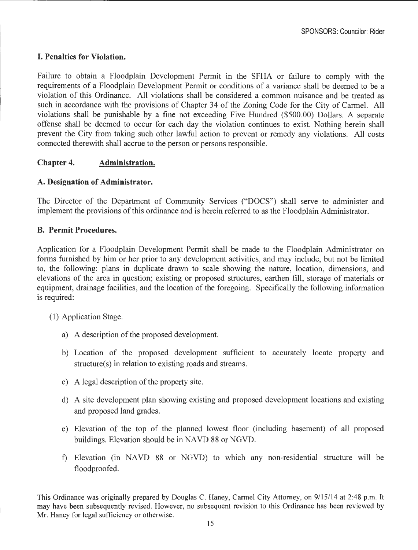# **I. Penalties for Violation.**

Failure to obtain a Floodplain Development Permit in the SFHA or failure to comply with the requirements of a Floodplain Development Permit or conditions of a variance shall be deemed to be a violation of this Ordinance. All violations shall be considered a common nuisance and be treated as such in accordance with the provisions of Chapter 34 of the Zoning Code for the City of Carmel. All violations shall be punishable by a fine not exceeding Five Hundred (\$500.00) Dollars. A separate offense shall be deemed to occur for each day the violation continues to exist. Nothing herein shall prevent the City from taking such other lawful action to prevent or remedy any violations. All costs connected therewith shall accrue to the person or persons responsible.

# **Chapter 4. Administration.**

### **A. Designation of Administrator.**

The Director of the Department of Community Services ("DOCS") shall serve to administer and implement the provisions of this ordinance and is herein referred to as the Floodplain Administrator.

### **B. Permit Procedures.**

Application for a Floodplain Development Permit shall be made to the Floodplain Administrator on forms furnished by him or her prior to any development activities, and may include, but not be limited to, the following: plans in duplicate drawn to scale showing the nature, location, dimensions, and elevations of the area in question; existing or proposed structures, earthen fill, storage of materials or equipment, drainage facilities, and the location of the foregoing. Specifically the following information is required:

- (1) Application Stage.
	- a) A description of the proposed development.
	- b) Location of the proposed development sufficient to accurately locate property and structure(s) in relation to existing roads and streams.
	- c) A legal description of the property site.
	- d) A site development plan showing existing and proposed development locations and existing and proposed land grades.
	- e) Elevation of the top of the planned lowest floor (including basement) of all proposed buildings. Elevation should be in NA VD 88 or NGVD.
	- f) Elevation (in NAVD 88 or NGVD) to which any non-residential structure will be floodproofed.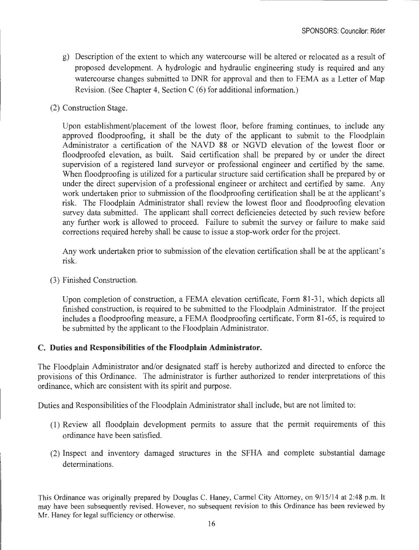- g) Description of the extent to which any watercourse will be altered or relocated as a result of proposed development. A hydrologic and hydraulic engineering study is required and any watercourse changes submitted to DNR for approval and then to FEMA as a Letter of Map Revision. (See Chapter 4, Section C (6) for additional information.)
- (2) Construction Stage.

Upon establishment/placement of the lowest floor, before framing continues, to include any approved floodproofing, it shall be the duty of the applicant to submit to the Floodplain Administrator a certification of the NAVD 88 or NGVD elevation of the lowest floor or floodproofed elevation, as built. Said certification shall be prepared by or under the direct supervision of a registered land surveyor or professional engineer and certified by the same. When floodproofing is utilized for a particular structure said certification shall be prepared by or under the direct supervision of a professional engineer or architect and certified by same. Any work undertaken prior to submission of the floodproofing certification shall be at the applicant's risk. The Floodplain Administrator shall review the lowest floor and floodproofing elevation survey data submitted. The applicant shall correct deficiencies detected by such review before any further work is allowed to proceed. Failure to submit the survey or failure to make said corrections required hereby shall be cause to issue a stop-work order for the project.

Any work undertaken prior to submission of the elevation certification shall be at the applicant's risk.

(3) Finished Construction.

Upon completion of construction, a FEMA elevation certificate, Form 81-31 , which depicts all finished construction, is required to be submitted to the Floodplain Administrator. If the project includes a floodproofing measure, a FEMA floodproofing certificate. Form 81-65, is required to be submitted by the applicant to the Floodplain Administrator.

#### **C. Duties and Responsibilities of the Floodplain Administrator.**

The Floodplain Administrator and/or designated staff is hereby authorized and directed to enforce the provisions of this Ordinance. The administrator is further authorized to render interpretations of this ordinance, which are consistent with its spirit and purpose.

Duties and Responsibilities of the Floodplain Administrator shall include, but are not limited to:

- (1) Review all floodplain development permits to assure that the permit requirements of this ordinance have been satisfied.
- (2) Inspect and inventory damaged structures in the SFHA and complete substantial damage determinations.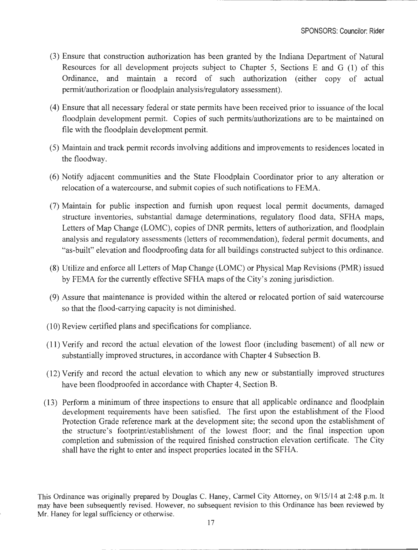- (3) Ensure that construction authorization has been granted by the Indiana Department of Natural Resources for all development projects subject to Chapter 5, Sections E and G (1) of this Ordinance, and maintain a record of such authorization (either copy of actual permit/authorization or floodplain analysis/regulatory assessment).
- (4) Ensure that all necessary federal or state permits have been received prior to issuance of the local floodplain development permit. Copies of such permits/authorizations are to be maintained on file with the floodplain development permit.
- (5) Maintain and track permit records involving additions and improvements to residences located in the floodway.
- (6) Notify adjacent communities and the State Floodplain Coordinator prior to any alteration or relocation of a watercourse, and submit copies of such notifications to FEMA.
- (7) Maintain for public inspection and furnish upon request local permit documents, damaged structure inventories, substantial damage determinations, regulatory flood data, SFHA maps, Letters of Map Change (LOMC), copies of DNR permits, letters of authorization, and floodplain analysis and regulatory assessments (letters of recommendation), federal permit documents, and "as-built" elevation and floodproofing data for all buildings constructed subject to this ordinance.
- (8) Utilize and enforce all Letters of Map Change (LOMC) or Physical Map Revisions (PMR) issued by FEMA for the currently effective SFHA maps of the City's zoning jurisdiction.
- (9) Assure that maintenance is provided within the altered or relocated portion of said watercourse so that the flood-carrying capacity is not diminished.
- (10) Review certified plans and specifications for compliance.
- (11) Verify and record the actual elevation of the lowest floor (including basement) of all new or substantially improved structures, in accordance with Chapter 4 Subsection B.
- (12) Verify and record the actual elevation to which any new or substantially improved structures have been floodproofed in accordance with Chapter 4, Section B.
- (13) Perform a minimum of three inspections to ensure that all applicable ordinance and floodplain development requirements have been satisfied. The first upon the establishment of the Flood Protection Grade reference mark at the development site; the second upon the establishment of the structure's footprint/establishment of the lowest floor; and the final inspection upon completion and submission of the required finished construction elevation certificate. The City shall have the right to enter and inspect properties located in the SFHA.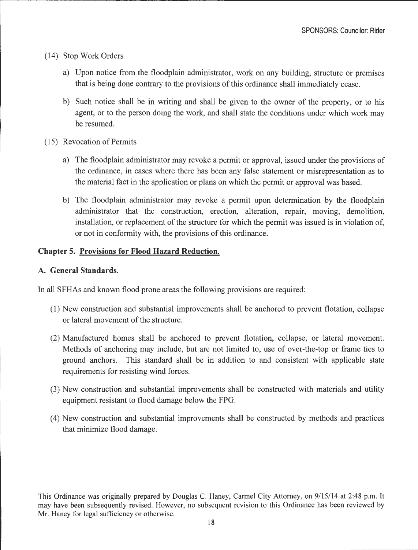- (14) Stop Work Orders
	- a) Upon notice from the floodplain administrator, work on any building, structure or premises that is being done contrary to the provisions of this ordinance shall immediately cease.
	- b) Such notice shall be in writing and shall be given to the owner of the property, or to his agent, or to the person doing the work, and shall state the conditions under which work may be resumed.
- (15) Revocation of Permits
	- a) The floodplain administrator may revoke a permit or approval, issued under the provisions of the ordinance, in cases where there has been any false statement or misrepresentation as to the material fact in the application or plans on which the permit or approval was based.
	- b) The floodplain administrator may revoke a permit upon determination by the floodplain administrator that the construction, erection, alteration, repair, moving, demolition, installation, or replacement of the structure for which the permit was issued is in violation of, or not in conformity with, the provisions of this ordinance.

### **Chapter 5. Provisions for Flood Hazard Reduction.**

#### **A. General Standards.**

In all SFHAs and known flood prone areas the following provisions are required:

- (1) New construction and substantial improvements shall be anchored to prevent flotation, collapse or lateral movement of the structure.
- (2) Manufactured homes shall be anchored to prevent flotation, collapse, or lateral movement. Methods of anchoring may include, but are not limited to, use of over-the-top or frame ties to ground anchors. This standard shall be in addition to and consistent with applicable state requirements for resisting wind forces.
- (3) New construction and substantial improvements shall be constructed with materials and utility equipment resistant to flood damage below the FPG.
- (4) New construction and substantial improvements shall be constructed by methods and practices that minimize flood damage.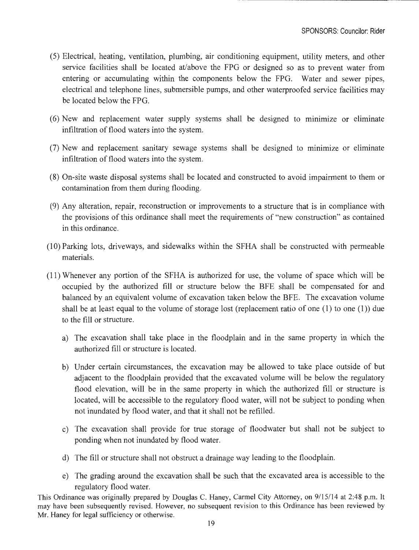- (5) Electrical, heating, ventilation, plumbing, air conditioning equipment, utility meters, and other service facilities shall be located at/above the FPG or designed so as to prevent water from entering or accumulating within the components below the FPG. Water and sewer pipes, electrical and telephone lines, submersible pumps, and other waterproofed service facilities may be located below the FPG.
- $(6)$  New and replacement water supply systems shall be designed to minimize or eliminate infiltration of flood waters into the system.
- (7) New and replacement sanitary sewage systems shall be designed to minimize or eliminate infiltration of flood waters into the system.
- (8) On-site waste disposal systems shall be located and constructed to avoid impairment to them or contamination from them during flooding.
- (9) Any alteration, repair, reconstruction or improvements to a structure that is in compliance with the provisions of this ordinance shall meet the requirements of "new construction" as contained in this ordinance.
- (10) Parking lots, driveways, and sidewalks within the SFHA shall be constructed with permeable materials.
- (11) Whenever any portion of the SFHA is authorized for use, the volume of space which will be occupied by the authorized fill or structure below the BFE shall be compensated for and balanced by an equivalent volume of excavation taken below the BFE. The excavation volume shall be at least equal to the volume of storage lost (replacement ratio of one (1) to one (1)) due to the fill or structure.
	- a) The excavation shall take place in the floodplain and in the same property in which the authorized fill or structure is located.
	- b) Under certain circumstances, the excavation may be allowed to take place outside of but adjacent to the floodplain provided that the excavated volume will be below the regulatory flood elevation, will be in the same property in which the authorized fill or structure is located, will be accessible to the regulatory flood water, will not be subject to ponding when not inundated by flood water, and that it shall not be refilled.
	- c) The excavation shall provide for true storage of floodwater but shall not be subject to ponding when not inundated by flood water.
	- d) The fill or structure shall not obstruct a drainage way leading to the floodplain.
	- e) The grading around the excavation shall be such that the excavated area is accessible to the regulatory flood water.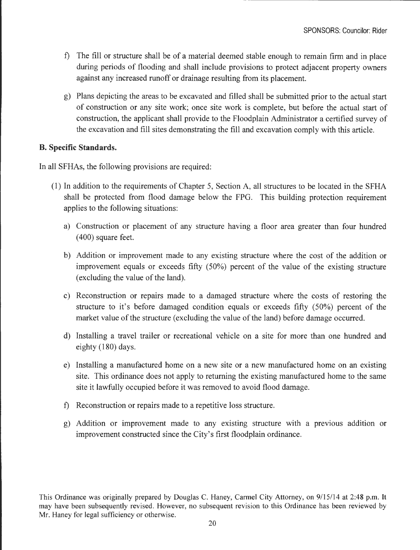- f) The fill or structure shall be of a material deemed stable enough to remain firm and in place during periods of flooding and shall include provisions to protect adjacent property owners against any increased runoff or drainage resulting from its placement.
- g) Plans depicting the areas to be excavated and filled shall be submitted prior to the actual start of construction or any site work; once site work is complete, but before the actual start of construction, the applicant shall provide to the Floodplain Administrator a certified survey of the excavation and fill sites demonstrating the fill and excavation comply with this article.

### **B. Specific Standards.**

In all SFHAs, the following provisions are required:

- (1) In addition to the requirements of Chapter 5, Section A, all structures to be located in the SFHA shall be protected from flood damage below the FPG. This building protection requirement applies to the following situations:
	- a) Construction or placement of any structure having a floor area greater than four hundred ( 400) square feet.
	- b) Addition or improvement made to any existing structure where the cost of the addition or improvement equals or exceeds fifty (50%) percent of the value of the existing structure (excluding the value of the land).
	- c) Reconstruction or repairs made to a damaged structure where the costs of restoring the structure to it's before damaged condition equals or exceeds fifty (50%) percent of the market value of the structure ( excluding the value of the land) before damage occurred.
	- d) Installing a travel trailer or recreational vehicle on a site for more than one hundred and eighty (180) days.
	- e) Installing a manufactured home on a new site or a new manufactured home on an existing site. This ordinance does not apply to returning the existing manufactured home to the same site it lawfully occupied before it was removed to avoid flood damage.
	- f) Reconstruction or repairs made to a repetitive loss structure.
	- g) Addition or improvement made to any existing structure with a previous addition or improvement constructed since the City's first floodplain ordinance.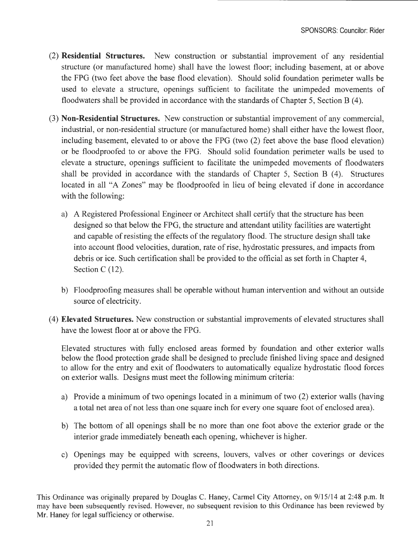- (2) **Residential Structures.** New construction or substantial improvement of any residential structure (or manufactured home) shall have the lowest floor; including basement, at or above the FPG (two feet above the base flood elevation). Should solid foundation perimeter walls be used to elevate a structure, openings sufficient to facilitate the unimpeded movements of floodwaters shall be provided in accordance with the standards of Chapter 5, Section B (4).
- (3) **Non-Residential Structures.** New construction or substantial improvement of any commercial, industrial, or non-residential structure (or manufactured home) shall either have the lowest floor, including basement, elevated to or above the FPG (two (2) feet above the base flood elevation) or be floodproofed to or above the FPG. Should solid foundation perimeter walls be used to elevate a structure, openings sufficient to facilitate the unimpeded movements of floodwaters shall be provided in accordance with the standards of Chapter 5, Section B (4). Structures located in all "A Zones" may be floodproofed in lieu of being elevated if done in accordance with the following:
	- a) A Registered Professional Engineer or Architect shall certify that the structure has been designed so that below the FPG, the structure and attendant utility facilities are watertight and capable of resisting the effects of the regulatory flood. The structure design shall take into account flood velocities, duration, rate of rise, hydrostatic pressures, and impacts from debris or ice. Such certification shall be provided to the official as set forth in Chapter 4, Section C (12).
	- b) Floodproofing measures shall be operable without human intervention and without an outside source of electricity.
- ( 4) **Elevated Structures.** New construction or substantial improvements of elevated structures shall have the lowest floor at or above the FPG.

Elevated structures with fully enclosed areas formed by foundation and other exterior walls below the flood protection grade shall be designed to preclude finished living space and designed to allow for the entry and exit of floodwaters to automatically equalize hydrostatic flood forces on exterior walls. Designs must meet the following minimum criteria:

- a) Provide a minimum of two openings located in a minimum of two (2) exterior walls (having a total net area of not less than one square inch for every one square foot of enclosed area).
- b) The bottom of all openings shall be no more than one foot above the exterior grade or the interior grade immediately beneath each opening, whichever is higher.
- c) Openings may be equipped with screens, louvers, valves or other coverings or devices provided they permit the automatic flow of floodwaters in both directions.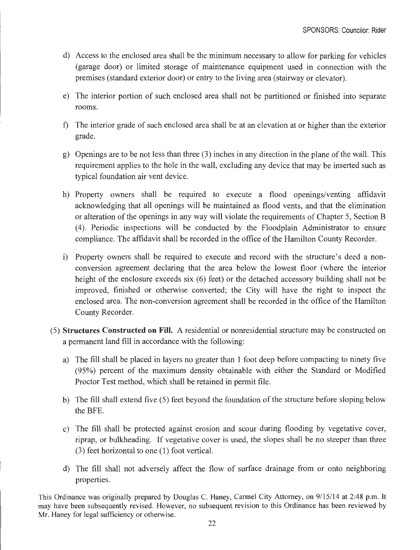- d) Access to the enclosed area shall be the minimum necessary to allow for parking for vehicles (garage door) or limited storage of maintenance equipment used in connection with the premises (standard exterior door) or entry to the living area (stairway or elevator).
- e) The interior portion of such enclosed area shall not be partitioned or finished into separate rooms.
- f) The interior grade of such enclosed area shall be at an elevation at or higher than the exterior grade.
- g) Openings are to be not less than three (3) inches in any direction in the plane of the wall. This requirement applies to the hole in the wall, excluding any device that may be inserted such as typical foundation air vent device.
- h) Property owners shall be required to execute a flood openings/venting affidavit acknowledging that all openings will be maintained as flood vents, and that the elimination or alteration of the openings in any way will violate the requirements of Chapter 5, Section B (4). Periodic inspections will be conducted by the Floodplain Administrator to ensure compliance. The affidavit shall be recorded in the office of the Hamilton County Recorder.
- i) Property owners shall be required to execute and record with the structure's deed a nonconversion agreement declaring that the area below the lowest floor (where the interior height of the enclosure exceeds six (6) feet) or the detached accessory building shall not be improved, finished or otherwise converted; the City will have the right to inspect the enclosed area. The non-conversion agreement shall be recorded in the office of the Hamilton County Recorder.
- (5) **Structures Constructed on Fill.** A residential or nonresidential structure may be constructed on a permanent land fill in accordance with the following:
	- a) The fill shall be placed in layers no greater than 1 foot deep before compacting to ninety five (95%) percent of the maximum density obtainable with either the Standard or Modified Proctor Test method, which shall be retained in permit file.
	- b) The fill shall extend five (5) feet beyond the foundation of the structure before sloping below the BFE.
	- c) The fill shall be protected against erosion and scour during flooding by vegetative cover, riprap, or bulkheading. If vegetative cover is used, the slopes shall be no steeper than three (3) feet horizontal to one (1) foot vertical.
	- d) The fill shall not adversely affect the flow of surface drainage from or onto neighboring properties.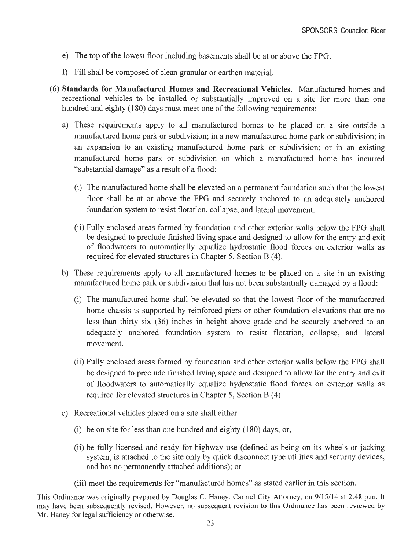- e) The top of the lowest floor including basements shall be at or above the FPG.
- f) Fill shall be composed of clean granular or earthen material.
- (6) **Standards for Manufactured Homes and Recreational Vehicles.** Manufactured homes and recreational vehicles to be installed or substantially improved on a site for more than one hundred and eighty (180) days must meet one of the following requirements:
	- a) These requirements apply to all manufactured homes to be placed on a site outside a manufactured home park or subdivision; in a new manufactured home park or subdivision; in an expansion to an existing manufactured home park or subdivision; or in an existing manufactured home park or subdivision on which a manufactured home has incurred "substantial damage" as a result of a flood:
		- (i) The manufactured home shall be elevated on a permanent foundation such that the lowest floor shall be at or above the FPG and securely anchored to an adequately anchored foundation system to resist flotation, collapse, and lateral movement.
		- (ii) Fully enclosed areas formed by foundation and other exterior walls below the FPG shall be designed to preclude finished living space and designed to allow for the entry and exit of floodwaters to automatically equalize hydrostatic flood forces on exterior walls as required for elevated structures in Chapter 5, Section B (4).
	- b) These requirements apply to all manufactured homes to be placed on a site in an existing manufactured home park or subdivision that has not been substantially damaged by a flood:
		- (i) The manufactured home shall be elevated so that the lowest floor of the manufactured home chassis is supported by reinforced piers or other foundation elevations that are no less than thirty six (36) inches in height above grade and be securely anchored to an adequately anchored foundation system to resist flotation, collapse, and lateral movement.
		- (ii) Fully enclosed areas formed by foundation and other exterior walls below the FPG shall be designed to preclude finished living space and designed to allow for the entry and exit of floodwaters to automatically equalize hydrostatic flood forces on exterior walls as required for elevated structures in Chapter 5, Section B (4).
	- c) Recreational vehicles placed on a site shall either:
		- (i) be on site for less than one hundred and eighty (180) days; or,
		- (ii) be fully licensed and ready for highway use ( defined as being on its wheels or jacking system, is attached to the site only by quick disconnect type utilities and security devices, and has no permanently attached additions); or
		- (iii) meet the requirements for "manufactured homes" as stated earlier in this section.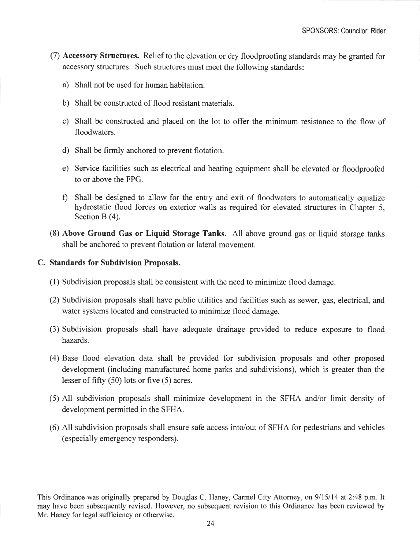- (7) **Accessory Structures.** Relief to the elevation or dry floodproofing standards may be granted for accessory structures. Such structures must meet the following standards:
	- a) Shall not be used for human habitation.
	- b) Shall be constructed of flood resistant materials.
	- c) Shall be constructed and placed on the lot to offer the minimum resistance to the flow of floodwaters.
	- d) Shall be firmly anchored to prevent flotation.
	- e) Service facilities such as electrical and heating equipment shall be elevated or floodproofed to or above the FPG.
	- f) Shall be designed to allow for the entry and exit of floodwaters to automatically equalize hydrostatic flood forces on exterior walls as required for elevated structures in Chapter 5, Section B $(4)$ .
- (8) **Above Ground Gas or Liquid Storage Tanks.** All above ground gas or liquid storage tanks shall be anchored to prevent flotation or lateral movement.

#### **C. Standards for Subdivision Proposals.**

- (1) Subdivision proposals shall be consistent with the need to minimize flood damage.
- (2) Subdivision proposals shall have public utilities and facilities such as sewer, gas, electrical, and water systems located and constructed to minimize flood damage.
- (3) Subdivision proposals shall have adequate drainage provided to reduce exposure to flood hazards.
- (4) Base flood elevation data shall be provided for subdivision proposals and other proposed development (including manufactured home parks and subdivisions), which is greater than the lesser of fifty (50) lots or five (5) acres.
- (5) All subdivision proposals shall minimize development in the SFHA and/or limit density of development permitted in the SFHA.
- (6) All subdivision proposals shall ensure safe access into/out of SFHA for pedestrians and vehicles ( especially emergency responders).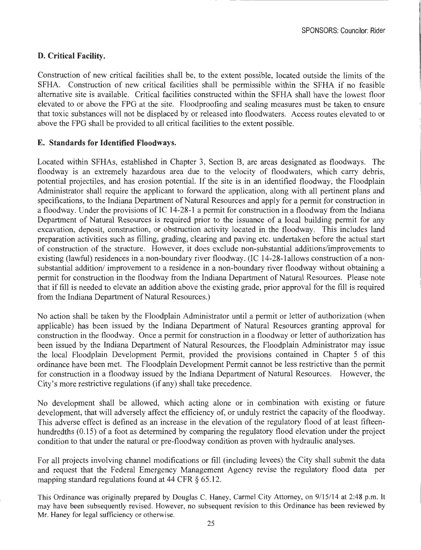SPONSORS: Councilor: Rider

### **D. Critical Facility.**

Construction of new critical facilities shall be, to the extent possible, located outside the limits of the SFHA. Construction of new critical facilities shall be permissible within the SFHA if no feasible alternative site is available. Critical facilities constructed within the SFHA shall have the lowest floor elevated to or above the FPG at the site. Floodproofing and sealing measures must be taken to ensure that toxic substances will not be displaced by or released into floodwaters. Access routes elevated to or above the FPG shall be provided to all critical facilities to the extent possible.

#### **E. Standards for Identified Floodways.**

Located within SFHAs, established in Chapter 3, Section B, are areas designated as floodways. The floodway is an extremely hazardous area due to the velocity of floodwaters, which carry debris, potential projectiles, and has erosion potential. If the site is in an identified floodway, the Floodplain Administrator shall require the applicant to forward the application, along with all pertinent plans and specifications, to the Indiana Department of Natural Resources and apply for a permit for construction in a floodway. Under the provisions of IC 14-28-1 a permit for construction in a floodway from the Indiana Department of Natural Resources is required prior to the issuance of a local building permit for any excavation, deposit, construction, or obstruction activity located in the floodway. This includes land preparation activities such as filling, grading, clearing and paving etc. undertaken before the actual start of construction of the structure. However, it does exclude non-substantial additions/improvements to existing (lawful) residences in a non-boundary river floodway. (IC 14-28-lallows construction of a nonsubstantial addition/ improvement to a residence in a non-boundary river floodway without obtaining a permit for construction in the floodway from the Indiana Department of Natural Resources. Please note that if fill is needed to elevate an addition above the existing grade, prior approval for the fill is required from the Indiana Department of Natural Resources.)

No action shall be taken by the Floodplain Administrator until a permit or letter of authorization (when applicable) has been issued by the Indiana Department of Natural Resources granting approval for construction in the floodway. Once a permit for construction in a floodway or letter of authorization has been issued by the Indiana Department of Natural Resources, the Floodplain Administrator may issue the local Floodplain Development Permit, provided the provisions contained in Chapter 5 of this ordinance have been met. The Floodplain Development Permit cannot be less restrictive than the permit for construction in a floodway issued by the Indiana Department of Natural Resources. However, the City's more restrictive regulations (if any) shall take precedence.

No development shall be allowed, which acting alone or in combination with existing or future development, that will adversely affect the efficiency of, or unduly restrict the capacity of the floodway. This adverse effect is defined as an increase in the elevation of the regulatory flood of at least fifteenhundredths (0.15) of a foot as determined by comparing the regulatory flood elevation under the project condition to that under the natural or pre-floodway condition as proven with hydraulic analyses.

For all projects involving channel modifications or fill (including levees) the City shall submit the data and request that the Federal Emergency Management Agency revise the regulatory flood data per mapping standard regulations found at 44 CFR § 65.12.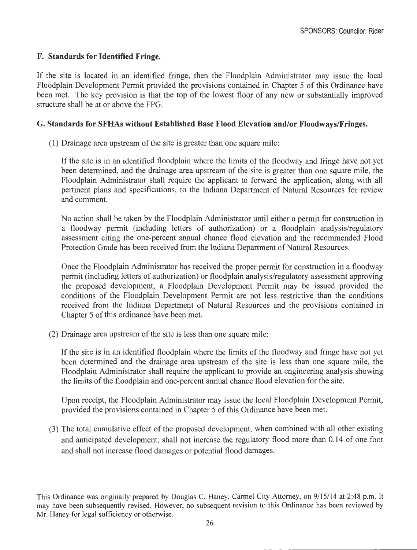## **F. Standards for Identified Fringe.**

If the site is located in an identified fringe, then the Floodplain Administrator may issue the local Floodplain Development Permit provided the provisions contained in Chapter 5 of this Ordinance have been met. The key provision is that the top of the lowest floor of any new or substantially improved structure shall be at or above the FPG.

### **G. Standards for SFHAs without Established Base Flood Elevation and/or Floodways/Fringes.**

(1) Drainage area upstream of the site is greater than one square mile:

If the site is in an identified floodplain where the limits of the floodway and fringe have not yet been determined, and the drainage area upstream of the site is greater than one square mile, the Floodplain Administrator shall require the applicant to forward the application, along with all pertinent plans and specifications, to the Indiana Department of Natural Resources for review and comment.

No action shall be taken by the Floodplain Administrator until either a permit for construction in a floodway permit (including letters of authorization) or a floodplain analysis/regulatory assessment citing the one-percent annual chance flood elevation and the recommended Flood Protection Grade has been received from the Indiana Department of Natural Resources.

Once the Floodplain Administrator has received the proper permit for construction in a floodway permit (including letters of authorization) or floodplain analysis/regulatory assessment approving the proposed development, a Floodplain Development Permit may be issued provided the conditions of the Floodplain Development Permit are not less restrictive than the conditions received from the Indiana Department of Natural Resources and the provisions contained in Chapter 5 of this ordinance have been met.

(2) Drainage area upstream of the site is less than one square mile:

If the site is in an identified floodplain where the limits of the floodway and fringe have not yet been determined and the drainage area upstream of the site is less than one square mile, the Floodplain Administrator shall require the applicant to provide an engineering analysis showing the limits of the floodplain and one-percent annual chance flood elevation for the site.

Upon receipt, the Floodplain Administrator may issue the local Floodplain Development Permit, provided the provisions contained in Chapter 5 of this Ordinance have been met.

(3) The total cumulative effect of the proposed development, when combined with all other existing and anticipated development, shall not increase the regulatory flood more than 0.14 of one foot and shall not increase flood damages or potential flood damages.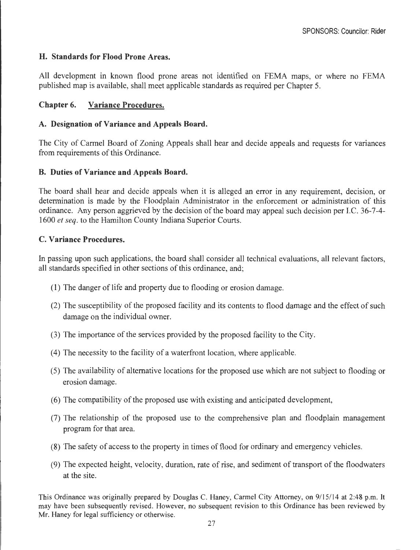### **H. Standards for Flood Prone Areas.**

All development in known flood prone areas not identified on FEMA maps, or where no FEMA published map is available, shall meet applicable standards as required per Chapter 5.

### **Chapter 6. Variance Procedures.**

### **A. Designation of Variance and Appeals Board.**

The City of Carmel Board of Zoning Appeals shall hear and decide appeals and requests for variances from requirements of this Ordinance.

### **B. Duties of Variance and Appeals Board.**

The board shall hear and decide appeals when it is alleged an error in any requirement, decision, or determination is made by the Floodplain Administrator in the enforcement or administration of this ordinance. Any person aggrieved by the decision of the board may appeal such decision per LC. 36-7-4- 1600 *et seq.* to the Hamilton County Indiana Superior Courts.

### **C. Variance Procedures.**

In passing upon such applications, the board shall consider all technical evaluations, all relevant factors, all standards specified in other sections of this ordinance, and;

- (1) The danger of life and property due to flooding or erosion damage.
- (2) The susceptibility of the proposed facility and its contents to flood damage and the effect of such damage on the individual owner.
- (3) The importance of the services provided by the proposed facility to the City.
- ( 4) The necessity to the facility of a waterfront location, where applicable.
- (5) The availability of alternative locations for the proposed use which are not subject to flooding or erosion damage.
- (6) The compatibility of the proposed use with existing and anticipated development,
- (7) The relationship of the proposed use to the comprehensive plan and floodplain management program for that area.
- (8) The safety of access to the property in times of flood for ordinary and emergency vehicles.
- (9) The expected height, velocity, duration, rate of rise, and sediment of transport of the floodwaters at the site.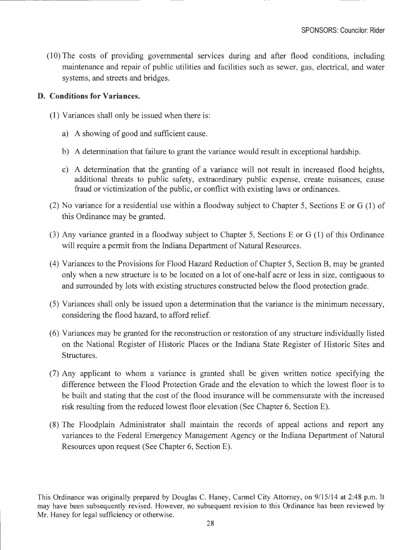(10) The costs of providing governmental services during and after flood conditions, including maintenance and repair of public utilities and facilities such as sewer, gas, electrical, and water systems, and streets and bridges.

#### **D. Conditions for Variances.**

- (1) Variances shall only be issued when there is:
	- a) A showing of good and sufficient cause.
	- b) A determination that failure to grant the variance would result in exceptional hardship.
	- c) A determination that the granting of a variance will not result in increased flood heights, additional threats to public safety, extraordinary public expense, create nuisances, cause fraud or victimization of the public, or conflict with existing laws or ordinances.
- (2) No variance for a residential use within a floodway subject to Chapter 5, Sections E or G (1) of this Ordinance may be granted.
- (3) Any variance granted in a floodway subject to Chapter 5, Sections E or G (1) of this Ordinance will require a permit from the Indiana Department of Natural Resources.
- ( 4) Variances to the Provisions for Flood Hazard Reduction of Chapter 5, Section B, may be granted only when a new structure is to be located on a lot of one-half acre or less in size, contiguous to and surrounded by lots with existing structures constructed below the flood protection grade.
- (5) Variances shall only be issued upon a determination that the variance is the minimum necessary, considering the flood hazard, to afford relief.
- ( 6) Variances may be granted for the reconstruction or restoration of any structure individually listed on the National Register of Historic Places or the Indiana State Register of Historic Sites and Structures.
- (7) Any applicant to whom a variance is granted shall be given written notice specifying the difference between the Flood Protection Grade and the elevation to which the lowest floor is to be built and stating that the cost of the flood insurance will be commensurate with the increased risk resulting from the reduced lowest floor elevation (See Chapter 6, Section E).
- (8) The Floodplain Administrator shall maintain the records of appeal actions and report any variances to the Federal Emergency Management Agency or the Indiana Department of Natural Resources upon request (See Chapter 6, Section E).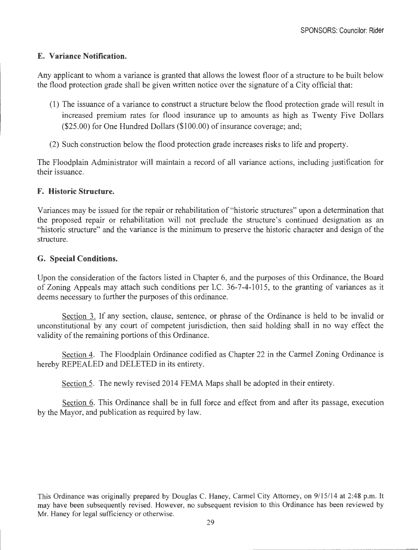# **E. Variance Notification.**

Any applicant to whom a variance is granted that allows the lowest floor of a structure to be built below the flood protection grade shall be given written notice over the signature of a City official that:

- (1) The issuance of a variance to construct a structure below the flood protection grade will result in increased premium rates for flood insurance up to amounts as high as Twenty Five Dollars (\$25.00) for One Hundred Dollars (\$100.00) of insurance coverage; and;
- (2) Such construction below the flood protection grade increases risks to life and property.

The Floodplain Administrator will maintain a record of all variance actions, including justification for their issuance.

# **F. Historic Structure.**

Variances may be issued for the repair or rehabilitation of "historic structures" upon a determination that the proposed repair or rehabilitation will not preclude the structure's continued designation as an "historic structure" and the variance is the minimum to preserve the historic character and design of the structure.

### **G. Special Conditions.**

Upon the consideration of the factors listed in Chapter 6, and the purposes of this Ordinance, the Board of Zoning Appeals may attach such conditions per LC. 36-7-4-1015, to the granting of variances as it deems necessary to further the purposes of this ordinance.

Section 3. If any section, clause, sentence, or phrase of the Ordinance is held to be invalid or unconstitutional by any court of competent jurisdiction, then said holding shall in no way effect the validity of the remaining portions of this Ordinance.

Section 4. The Floodplain Ordinance codified as Chapter 22 in the Carmel Zoning Ordinance is hereby REPEALED and DELETED in its entirety.

Section 5. The newly revised 2014 FEMA Maps shall be adopted in their entirety.

Section 6. This Ordinance shall be in full force and effect from and after its passage, execution by the Mayor, and publication as required by law.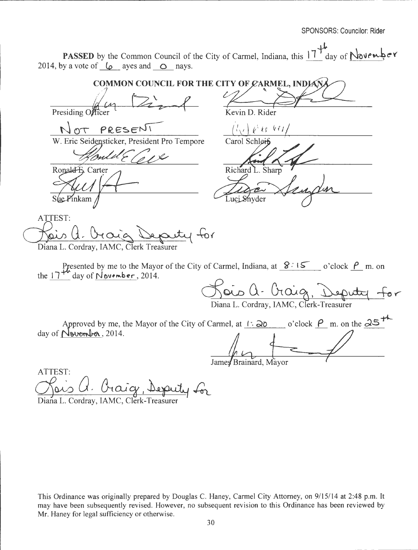**PASSED** by the Common Council of the City of Carmel, Indiana, this  $17^{1}$  day of **November** 2014, by a vote of  $\downarrow$  ayes and  $\circ$  nays.

 $MEL$ , INDIANA COMMON COUNCIL FOR THE CITY OF CARMEL, INDIANA *t* **t t**<br> **t**<br> **t**<br> **t**<br> **t**<br> **t**<br> *x*<br> *x*<br> *x*<br> *x***<br>
<b>***x*<br> *x*<br> *x*<br> *x*<br> *x*<br> *x*<br> *x***</del>**  $\sqrt{m}$ Presiding Officer<br>
NOT PRESENT<br>
W. Eric Seidensticker, President Pro Tempore Carol Schlei<del>f</del> Presiding Officer *v*  mlu  $R$ ind  $\Lambda$   $\gamma$ Richard L. Sharp<br>Luci Snyder Sengdin Ronald B. Carter Sue Pinkam /<br>ATTEST:<br>Chais (1. Or Orig Deputy for<br>Diana L. Cordray, IAMC, Clerk Treasurer ATTEST: Diana L. Cordray, IAMC, Clerk Treasurer Presented by me to the Mayor of the City of Carmel, Indiana, at  $8:15$  o'clock  $\beta$  m. on the  $17^{44}$  day of November, 2014. <u>Hois a. Oraig, Deputy for</u>

Diana L. Cordray, IAMC, Clerk-Treasurer

Approved by me, the Mayor of the City of Carmel, at  $\frac{1 \cdot 20}{\sqrt{25}}$  o'clock  $\frac{\rho}{\sqrt{25}}$  m. on the  $25$ <sup>+1</sup> day of <u>Nevember</u>, 2014.

James Brainard, Mayor

James<br>Chaicy, Depuily for<br>Diana L. Cordray, IAMC, Clerk-Treasurer